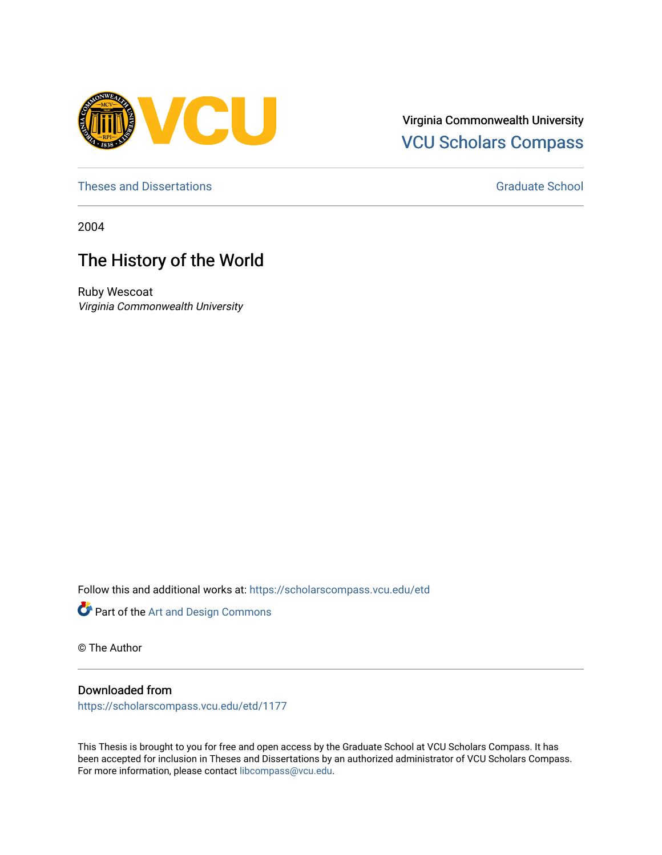

Virginia Commonwealth University [VCU Scholars Compass](https://scholarscompass.vcu.edu/) 

[Theses and Dissertations](https://scholarscompass.vcu.edu/etd) [Graduate School](https://scholarscompass.vcu.edu/gradschool) and Dissertations Graduate School and Dissertations Graduate School and Dissertations Graduate School and Dissertations Graduate School and Dissertations Graduate School and Dissert

2004

# The History of the World

Ruby Wescoat Virginia Commonwealth University

Follow this and additional works at: [https://scholarscompass.vcu.edu/etd](https://scholarscompass.vcu.edu/etd?utm_source=scholarscompass.vcu.edu%2Fetd%2F1177&utm_medium=PDF&utm_campaign=PDFCoverPages) 



© The Author

# Downloaded from

[https://scholarscompass.vcu.edu/etd/1177](https://scholarscompass.vcu.edu/etd/1177?utm_source=scholarscompass.vcu.edu%2Fetd%2F1177&utm_medium=PDF&utm_campaign=PDFCoverPages) 

This Thesis is brought to you for free and open access by the Graduate School at VCU Scholars Compass. It has been accepted for inclusion in Theses and Dissertations by an authorized administrator of VCU Scholars Compass. For more information, please contact [libcompass@vcu.edu](mailto:libcompass@vcu.edu).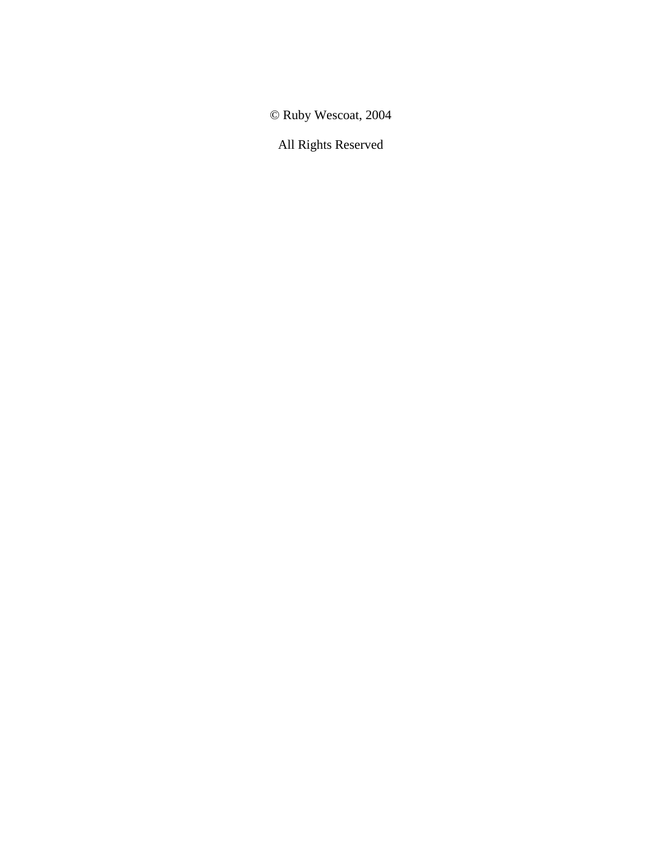© Ruby Wescoat, 2004

All Rights Reserved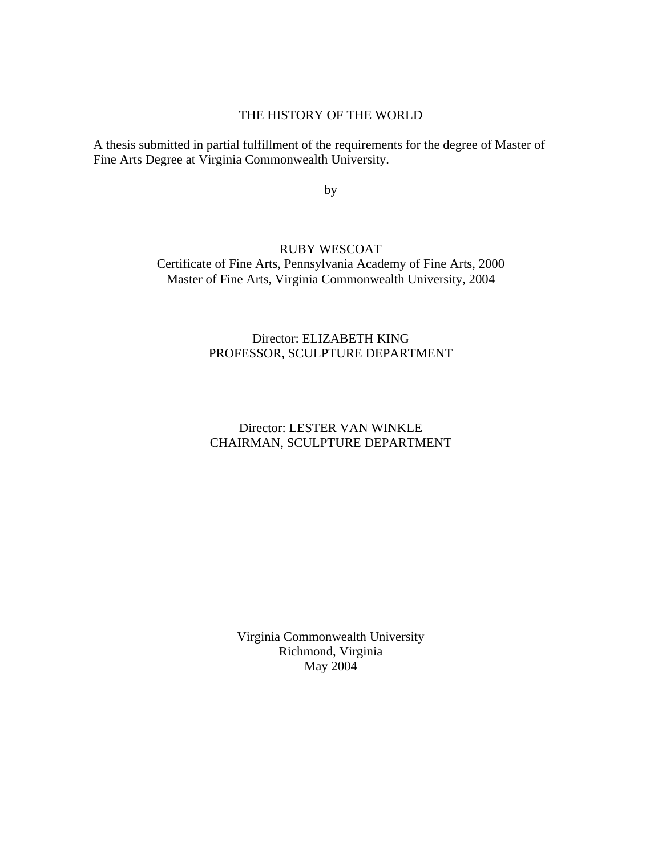# THE HISTORY OF THE WORLD

A thesis submitted in partial fulfillment of the requirements for the degree of Master of Fine Arts Degree at Virginia Commonwealth University.

by

# RUBY WESCOAT

Certificate of Fine Arts, Pennsylvania Academy of Fine Arts, 2000 Master of Fine Arts, Virginia Commonwealth University, 2004

# Director: ELIZABETH KING PROFESSOR, SCULPTURE DEPARTMENT

# Director: LESTER VAN WINKLE CHAIRMAN, SCULPTURE DEPARTMENT

Virginia Commonwealth University Richmond, Virginia May 2004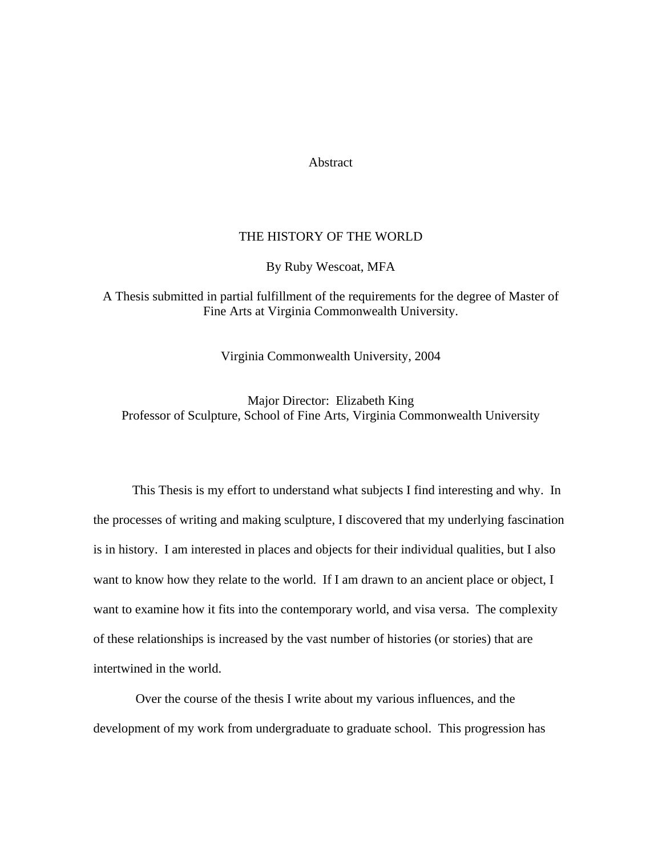### **Abstract**

### THE HISTORY OF THE WORLD

By Ruby Wescoat, MFA

A Thesis submitted in partial fulfillment of the requirements for the degree of Master of Fine Arts at Virginia Commonwealth University.

Virginia Commonwealth University, 2004

Major Director: Elizabeth King Professor of Sculpture, School of Fine Arts, Virginia Commonwealth University

This Thesis is my effort to understand what subjects I find interesting and why. In the processes of writing and making sculpture, I discovered that my underlying fascination is in history. I am interested in places and objects for their individual qualities, but I also want to know how they relate to the world. If I am drawn to an ancient place or object, I want to examine how it fits into the contemporary world, and visa versa. The complexity of these relationships is increased by the vast number of histories (or stories) that are intertwined in the world.

 Over the course of the thesis I write about my various influences, and the development of my work from undergraduate to graduate school. This progression has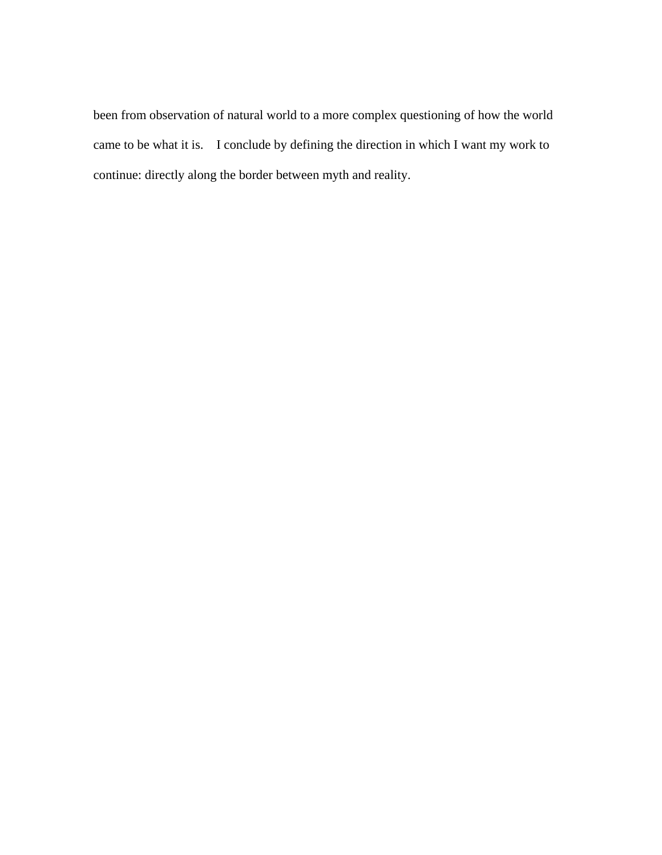been from observation of natural world to a more complex questioning of how the world came to be what it is. I conclude by defining the direction in which I want my work to continue: directly along the border between myth and reality.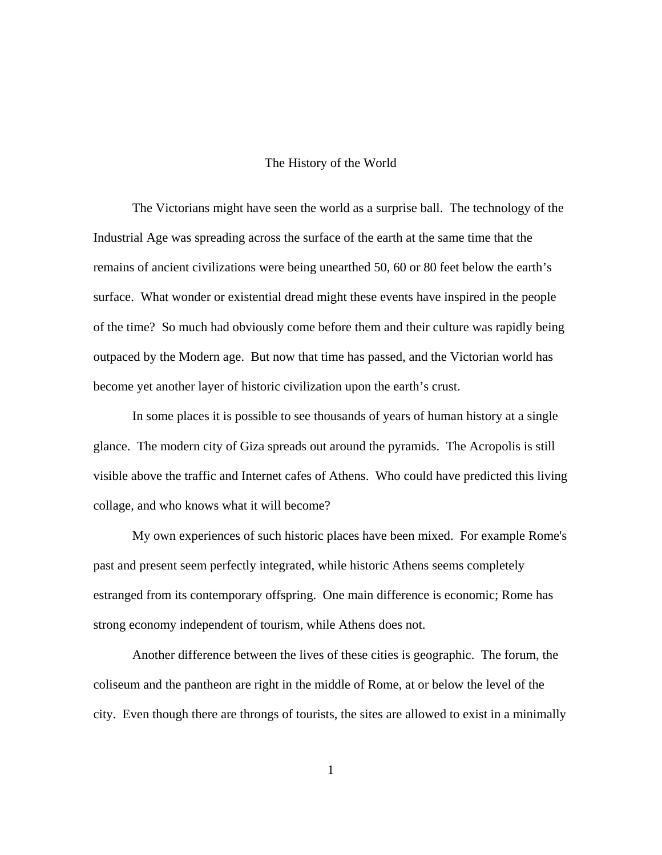### The History of the World

The Victorians might have seen the world as a surprise ball. The technology of the Industrial Age was spreading across the surface of the earth at the same time that the remains of ancient civilizations were being unearthed 50, 60 or 80 feet below the earth's surface. What wonder or existential dread might these events have inspired in the people of the time? So much had obviously come before them and their culture was rapidly being outpaced by the Modern age. But now that time has passed, and the Victorian world has become yet another layer of historic civilization upon the earth's crust.

In some places it is possible to see thousands of years of human history at a single glance. The modern city of Giza spreads out around the pyramids. The Acropolis is still visible above the traffic and Internet cafes of Athens. Who could have predicted this living collage, and who knows what it will become?

My own experiences of such historic places have been mixed. For example Rome's past and present seem perfectly integrated, while historic Athens seems completely estranged from its contemporary offspring. One main difference is economic; Rome has strong economy independent of tourism, while Athens does not.

Another difference between the lives of these cities is geographic. The forum, the coliseum and the pantheon are right in the middle of Rome, at or below the level of the city. Even though there are throngs of tourists, the sites are allowed to exist in a minimally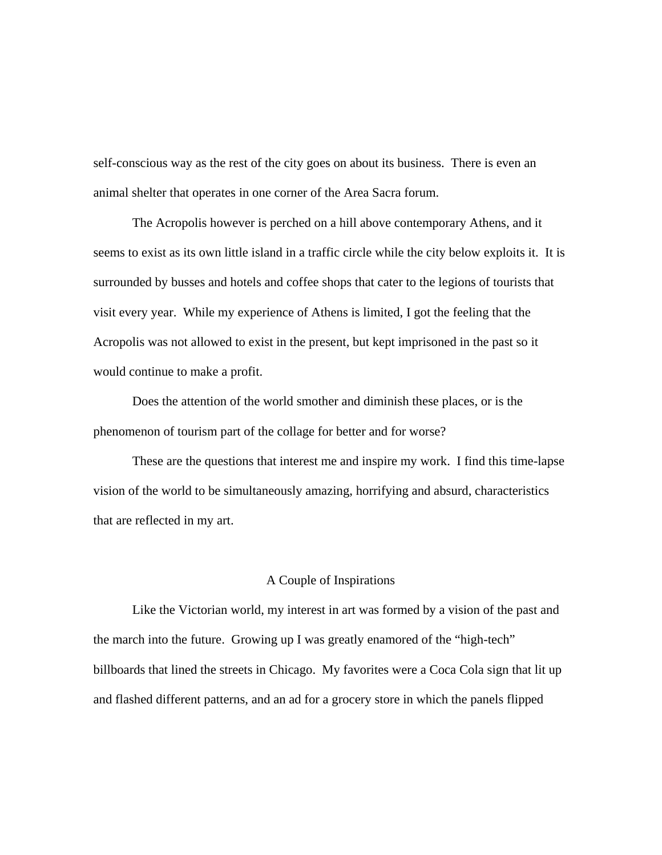self-conscious way as the rest of the city goes on about its business. There is even an animal shelter that operates in one corner of the Area Sacra forum.

The Acropolis however is perched on a hill above contemporary Athens, and it seems to exist as its own little island in a traffic circle while the city below exploits it. It is surrounded by busses and hotels and coffee shops that cater to the legions of tourists that visit every year. While my experience of Athens is limited, I got the feeling that the Acropolis was not allowed to exist in the present, but kept imprisoned in the past so it would continue to make a profit.

Does the attention of the world smother and diminish these places, or is the phenomenon of tourism part of the collage for better and for worse?

These are the questions that interest me and inspire my work. I find this time-lapse vision of the world to be simultaneously amazing, horrifying and absurd, characteristics that are reflected in my art.

### A Couple of Inspirations

Like the Victorian world, my interest in art was formed by a vision of the past and the march into the future. Growing up I was greatly enamored of the "high-tech" billboards that lined the streets in Chicago. My favorites were a Coca Cola sign that lit up and flashed different patterns, and an ad for a grocery store in which the panels flipped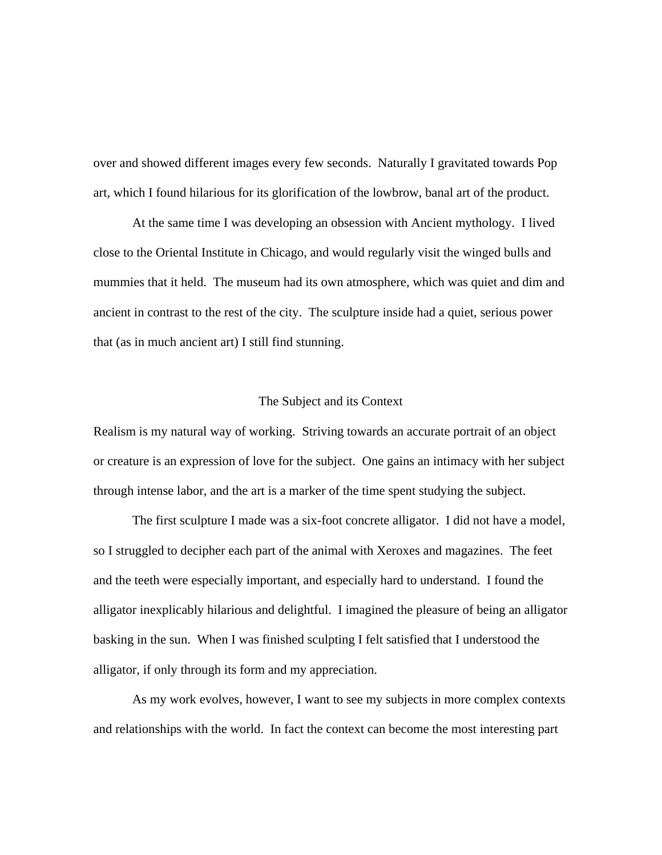over and showed different images every few seconds. Naturally I gravitated towards Pop art, which I found hilarious for its glorification of the lowbrow, banal art of the product.

At the same time I was developing an obsession with Ancient mythology. I lived close to the Oriental Institute in Chicago, and would regularly visit the winged bulls and mummies that it held. The museum had its own atmosphere, which was quiet and dim and ancient in contrast to the rest of the city. The sculpture inside had a quiet, serious power that (as in much ancient art) I still find stunning.

#### The Subject and its Context

Realism is my natural way of working. Striving towards an accurate portrait of an object or creature is an expression of love for the subject. One gains an intimacy with her subject through intense labor, and the art is a marker of the time spent studying the subject.

The first sculpture I made was a six-foot concrete alligator. I did not have a model, so I struggled to decipher each part of the animal with Xeroxes and magazines. The feet and the teeth were especially important, and especially hard to understand. I found the alligator inexplicably hilarious and delightful. I imagined the pleasure of being an alligator basking in the sun. When I was finished sculpting I felt satisfied that I understood the alligator, if only through its form and my appreciation.

As my work evolves, however, I want to see my subjects in more complex contexts and relationships with the world. In fact the context can become the most interesting part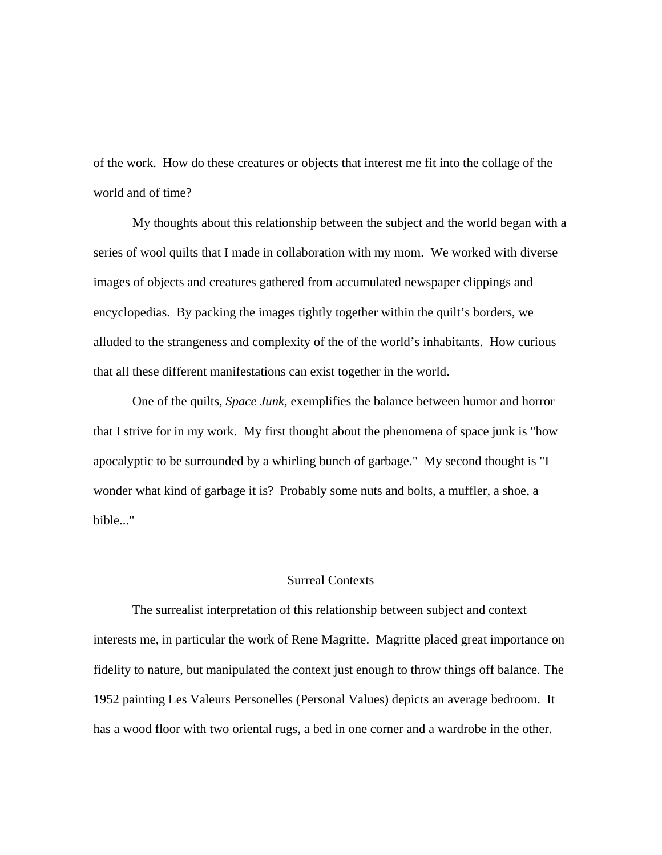of the work. How do these creatures or objects that interest me fit into the collage of the world and of time?

My thoughts about this relationship between the subject and the world began with a series of wool quilts that I made in collaboration with my mom. We worked with diverse images of objects and creatures gathered from accumulated newspaper clippings and encyclopedias. By packing the images tightly together within the quilt's borders, we alluded to the strangeness and complexity of the of the world's inhabitants. How curious that all these different manifestations can exist together in the world.

One of the quilts*, Space Junk,* exemplifies the balance between humor and horror that I strive for in my work. My first thought about the phenomena of space junk is "how apocalyptic to be surrounded by a whirling bunch of garbage." My second thought is "I wonder what kind of garbage it is? Probably some nuts and bolts, a muffler, a shoe, a bible..."

### Surreal Contexts

The surrealist interpretation of this relationship between subject and context interests me, in particular the work of Rene Magritte. Magritte placed great importance on fidelity to nature, but manipulated the context just enough to throw things off balance. The 1952 painting Les Valeurs Personelles (Personal Values) depicts an average bedroom. It has a wood floor with two oriental rugs, a bed in one corner and a wardrobe in the other.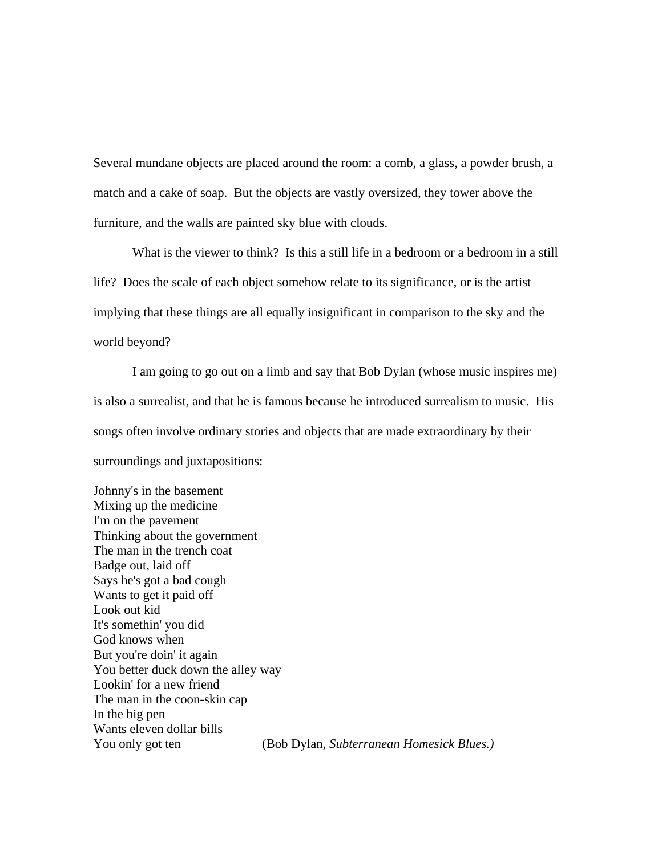Several mundane objects are placed around the room: a comb, a glass, a powder brush, a match and a cake of soap. But the objects are vastly oversized, they tower above the furniture, and the walls are painted sky blue with clouds.

What is the viewer to think? Is this a still life in a bedroom or a bedroom in a still life? Does the scale of each object somehow relate to its significance, or is the artist implying that these things are all equally insignificant in comparison to the sky and the world beyond?

I am going to go out on a limb and say that Bob Dylan (whose music inspires me) is also a surrealist, and that he is famous because he introduced surrealism to music. His songs often involve ordinary stories and objects that are made extraordinary by their surroundings and juxtapositions:

Johnny's in the basement Mixing up the medicine I'm on the pavement Thinking about the government The man in the trench coat Badge out, laid off Says he's got a bad cough Wants to get it paid off Look out kid It's somethin' you did God knows when But you're doin' it again You better duck down the alley way Lookin' for a new friend The man in the coon-skin cap In the big pen Wants eleven dollar bills You only got ten (Bob Dylan, *Subterranean Homesick Blues.)*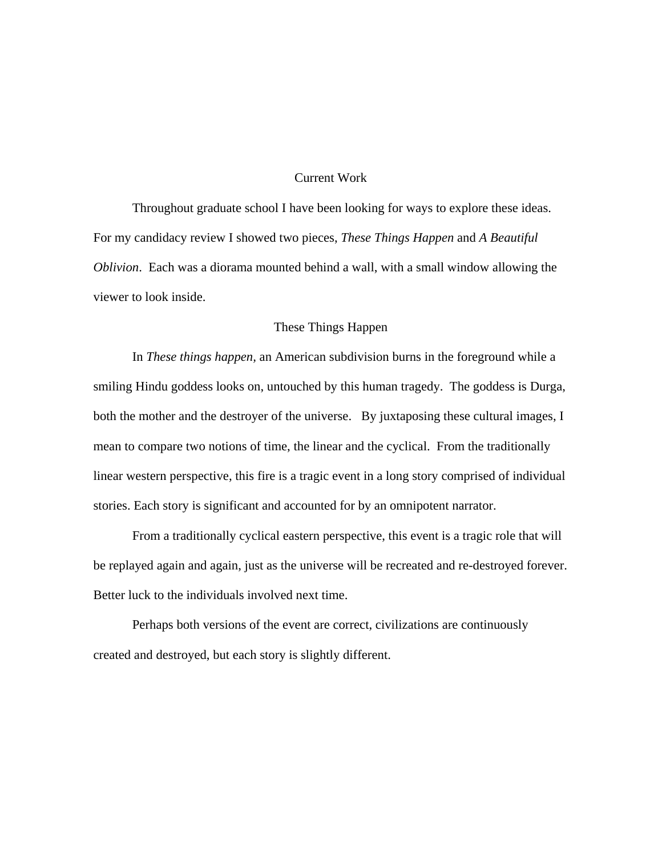## Current Work

Throughout graduate school I have been looking for ways to explore these ideas. For my candidacy review I showed two pieces, *These Things Happen* and *A Beautiful Oblivion*. Each was a diorama mounted behind a wall, with a small window allowing the viewer to look inside.

# These Things Happen

In *These things happen,* an American subdivision burns in the foreground while a smiling Hindu goddess looks on, untouched by this human tragedy. The goddess is Durga, both the mother and the destroyer of the universe. By juxtaposing these cultural images, I mean to compare two notions of time, the linear and the cyclical. From the traditionally linear western perspective, this fire is a tragic event in a long story comprised of individual stories. Each story is significant and accounted for by an omnipotent narrator.

From a traditionally cyclical eastern perspective, this event is a tragic role that will be replayed again and again, just as the universe will be recreated and re-destroyed forever. Better luck to the individuals involved next time.

Perhaps both versions of the event are correct, civilizations are continuously created and destroyed, but each story is slightly different.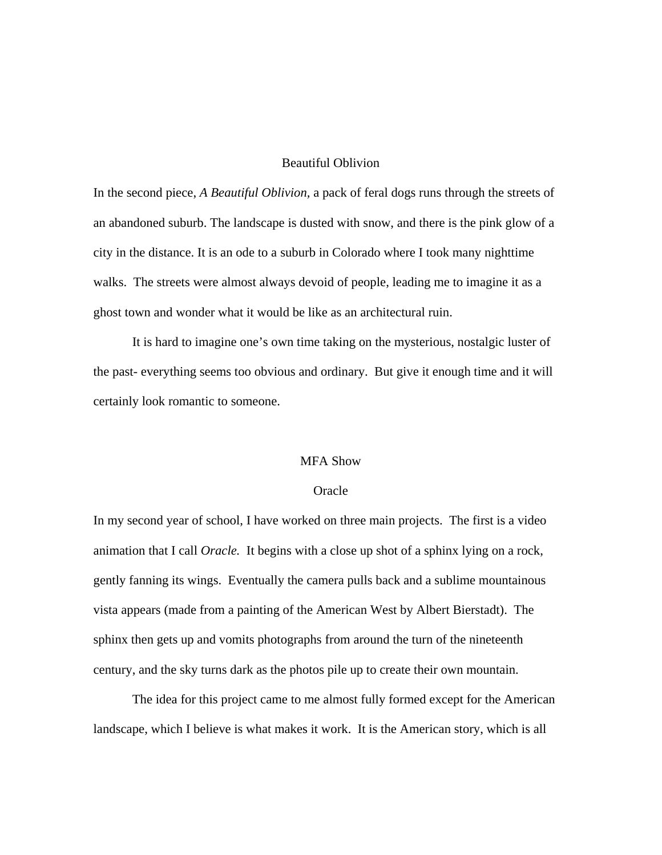### Beautiful Oblivion

In the second piece, *A Beautiful Oblivion,* a pack of feral dogs runs through the streets of an abandoned suburb. The landscape is dusted with snow, and there is the pink glow of a city in the distance. It is an ode to a suburb in Colorado where I took many nighttime walks. The streets were almost always devoid of people, leading me to imagine it as a ghost town and wonder what it would be like as an architectural ruin.

It is hard to imagine one's own time taking on the mysterious, nostalgic luster of the past- everything seems too obvious and ordinary. But give it enough time and it will certainly look romantic to someone.

#### MFA Show

#### Oracle

In my second year of school, I have worked on three main projects. The first is a video animation that I call *Oracle.* It begins with a close up shot of a sphinx lying on a rock, gently fanning its wings. Eventually the camera pulls back and a sublime mountainous vista appears (made from a painting of the American West by Albert Bierstadt). The sphinx then gets up and vomits photographs from around the turn of the nineteenth century, and the sky turns dark as the photos pile up to create their own mountain.

The idea for this project came to me almost fully formed except for the American landscape, which I believe is what makes it work. It is the American story, which is all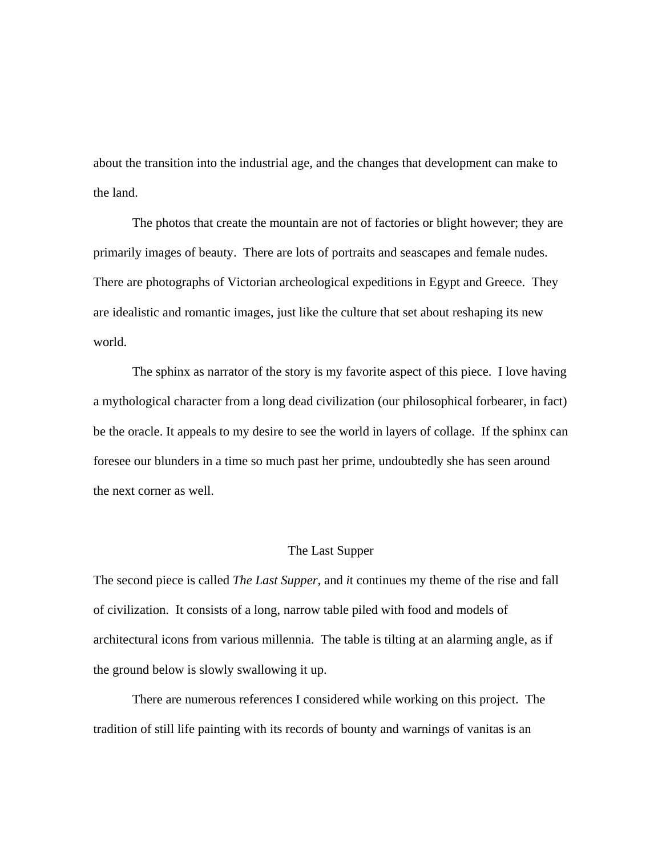about the transition into the industrial age, and the changes that development can make to the land.

The photos that create the mountain are not of factories or blight however; they are primarily images of beauty. There are lots of portraits and seascapes and female nudes. There are photographs of Victorian archeological expeditions in Egypt and Greece. They are idealistic and romantic images, just like the culture that set about reshaping its new world.

The sphinx as narrator of the story is my favorite aspect of this piece. I love having a mythological character from a long dead civilization (our philosophical forbearer, in fact) be the oracle. It appeals to my desire to see the world in layers of collage. If the sphinx can foresee our blunders in a time so much past her prime, undoubtedly she has seen around the next corner as well.

#### The Last Supper

The second piece is called *The Last Supper,* and *i*t continues my theme of the rise and fall of civilization. It consists of a long, narrow table piled with food and models of architectural icons from various millennia. The table is tilting at an alarming angle, as if the ground below is slowly swallowing it up.

There are numerous references I considered while working on this project. The tradition of still life painting with its records of bounty and warnings of vanitas is an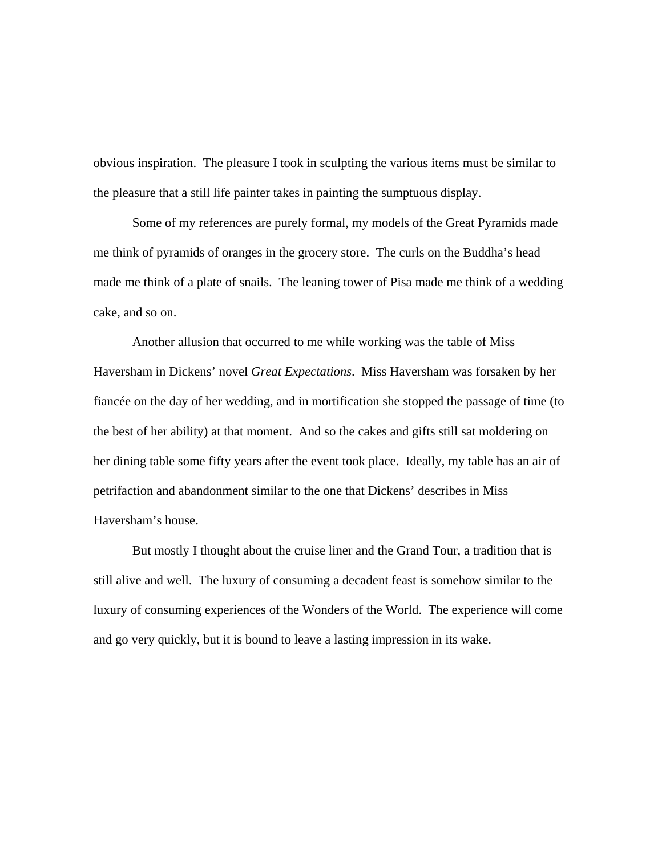obvious inspiration. The pleasure I took in sculpting the various items must be similar to the pleasure that a still life painter takes in painting the sumptuous display.

Some of my references are purely formal, my models of the Great Pyramids made me think of pyramids of oranges in the grocery store. The curls on the Buddha's head made me think of a plate of snails. The leaning tower of Pisa made me think of a wedding cake, and so on.

Another allusion that occurred to me while working was the table of Miss Haversham in Dickens' novel *Great Expectations*. Miss Haversham was forsaken by her fiancée on the day of her wedding, and in mortification she stopped the passage of time (to the best of her ability) at that moment. And so the cakes and gifts still sat moldering on her dining table some fifty years after the event took place. Ideally, my table has an air of petrifaction and abandonment similar to the one that Dickens' describes in Miss Haversham's house.

But mostly I thought about the cruise liner and the Grand Tour, a tradition that is still alive and well. The luxury of consuming a decadent feast is somehow similar to the luxury of consuming experiences of the Wonders of the World. The experience will come and go very quickly, but it is bound to leave a lasting impression in its wake.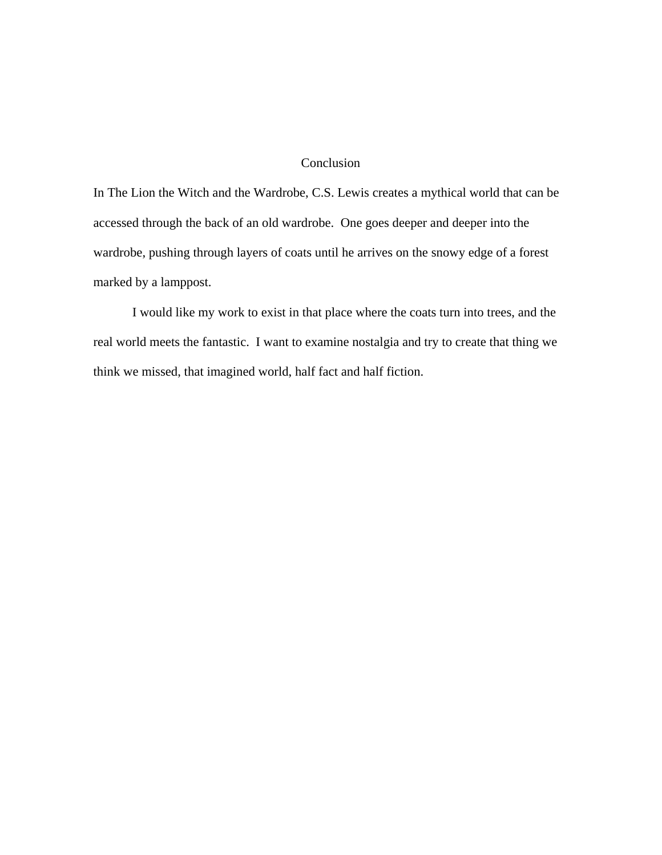# Conclusion

In The Lion the Witch and the Wardrobe, C.S. Lewis creates a mythical world that can be accessed through the back of an old wardrobe. One goes deeper and deeper into the wardrobe, pushing through layers of coats until he arrives on the snowy edge of a forest marked by a lamppost.

I would like my work to exist in that place where the coats turn into trees, and the real world meets the fantastic. I want to examine nostalgia and try to create that thing we think we missed, that imagined world, half fact and half fiction.